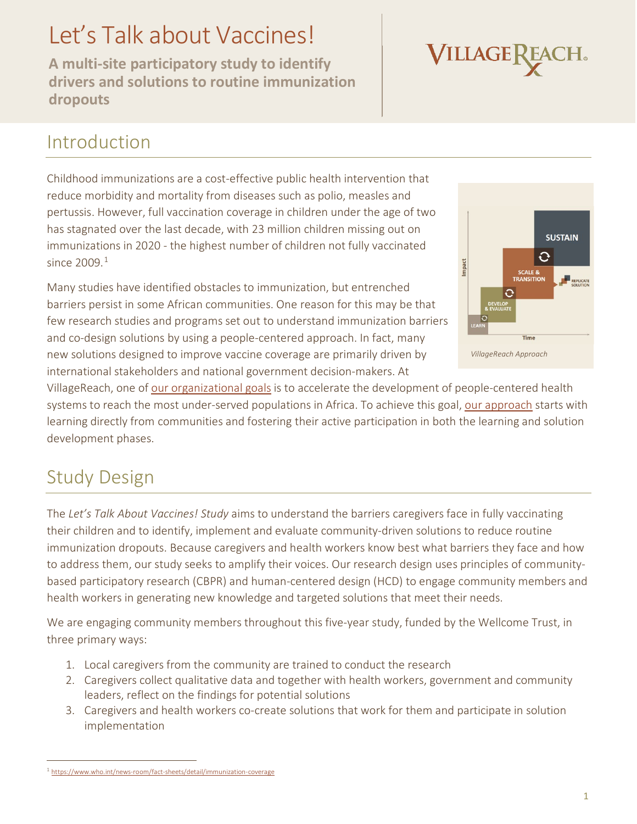# Let's Talk about Vaccines!

**A multi-site participatory study to identify drivers and solutions to routine immunization dropouts** 



### Introduction

Childhood immunizations are a cost-effective public health intervention that reduce morbidity and mortality from diseases such as polio, measles and pertussis. However, full vaccination coverage in children under the age of two has stagnated over the last decade, with 23 million children missing out on immunizations in 2020 - the highest number of children not fully vaccinated since  $2009<sup>1</sup>$  $2009<sup>1</sup>$  $2009<sup>1</sup>$ 

Many studies have identified obstacles to immunization, but entrenched barriers persist in some African communities. One reason for this may be that few research studies and programs set out to understand immunization barriers and co-design solutions by using a people-centered approach. In fact, many new solutions designed to improve vaccine coverage are primarily driven by international stakeholders and national government decision-makers. At



VillageReach, one of [our organizational](https://www.villagereach.org/wp-content/uploads/2020/06/VillageReach_Goals-Strategies_FY20_FY23.pdf) goals is to accelerate the development of people-centered health systems to reach the most under-served populations in Africa. To achieve this goal, [our approach](https://www.villagereach.org/who-we-are/our-approach/) starts with learning directly from communities and fostering their active participation in both the learning and solution development phases.

# Study Design

The *Let's Talk About Vaccines! Study* aims to understand the barriers caregivers face in fully vaccinating their children and to identify, implement and evaluate community-driven solutions to reduce routine immunization dropouts. Because caregivers and health workers know best what barriers they face and how to address them, our study seeks to amplify their voices. Our research design uses principles of communitybased participatory research (CBPR) and human-centered design (HCD) to engage community members and health workers in generating new knowledge and targeted solutions that meet their needs.

We are engaging community members throughout this five-year study, funded by the Wellcome Trust, in three primary ways:

- 1. Local caregivers from the community are trained to conduct the research
- 2. Caregivers collect qualitative data and together with health workers, government and community leaders, reflect on the findings for potential solutions
- 3. Caregivers and health workers co-create solutions that work for them and participate in solution implementation

<span id="page-0-0"></span> <sup>1</sup> <https://www.who.int/news-room/fact-sheets/detail/immunization-coverage>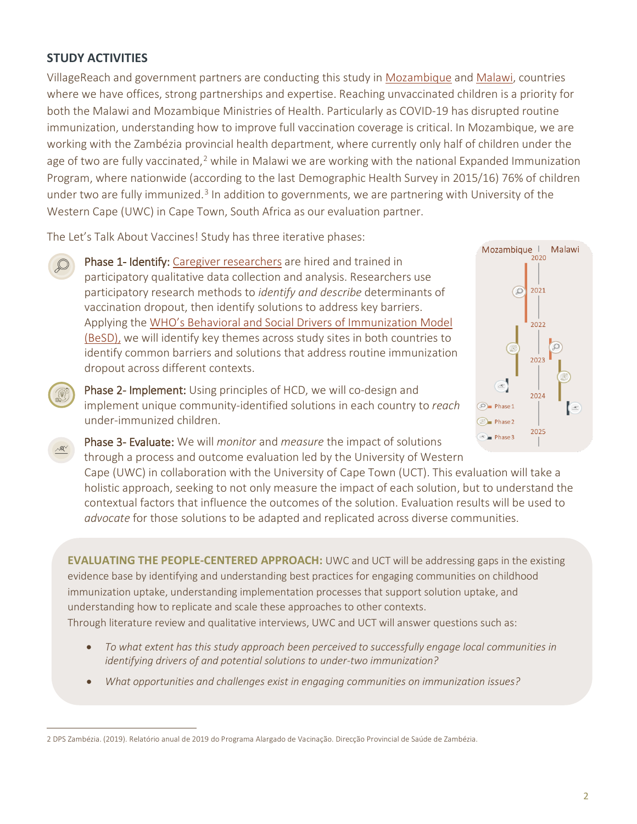#### **STUDY ACTIVITIES**

VillageReach and government partners are conducting this study in [Mozambique](https://www.villagereach.org/where-we-work/mozambique/) an[d Malawi,](https://www.villagereach.org/where-we-work/malawi/) countries where we have offices, strong partnerships and expertise. Reaching unvaccinated children is a priority for both the Malawi and Mozambique Ministries of Health. Particularly as COVID-19 has disrupted routine immunization, understanding how to improve full vaccination coverage is critical. In Mozambique, we are working with the Zambézia provincial health department, where currently only half of children under the age of two are fully vaccinated,<sup>[2](#page-1-0)</sup> while in Malawi we are working with the national Expanded Immunization Program, where nationwide (according to the last Demographic Health Survey in 2015/16) 76% of children under two are fully immunized.<sup>[3](#page-1-1)</sup> In addition to governments, we are partnering with University of the Western Cape (UWC) in Cape Town, South Africa as our evaluation partner.

The Let's Talk About Vaccines! Study has three iterative phases:

Phase 1- Identify: [Caregiver researchers](https://mesh.tghn.org/articles/project-report-bate-papo-vacina-lets-get-vaccinated/) are hired and trained in participatory qualitative data collection and analysis. Researchers use participatory research methods to *identify and describe* determinants of vaccination dropout, then identify solutions to address key barriers. Applying the [WHO's Behavioral and Social Drivers of Immunization Model](https://www.who.int/teams/immunization-vaccines-and-biologicals/essential-programme-on-immunization/demand) [\(BeSD\),](https://www.who.int/teams/immunization-vaccines-and-biologicals/essential-programme-on-immunization/demand) we will identify key themes across study sites in both countries to identify common barriers and solutions that address routine immunization dropout across different contexts.

Phase 2- Implement: Using principles of HCD, we will co-design and implement unique community-identified solutions in each country to *reach* under-immunized children.



Phase 3- Evaluate: We will *monitor* and *measure* the impact of solutions through a process and outcome evaluation led by the University of Western

Cape (UWC) in collaboration with the University of Cape Town (UCT). This evaluation will take a holistic approach, seeking to not only measure the impact of each solution, but to understand the contextual factors that influence the outcomes of the solution. Evaluation results will be used to *advocate* for those solutions to be adapted and replicated across diverse communities.

**EVALUATING THE PEOPLE-CENTERED APPROACH:** UWC and UCT will be addressing gaps in the existing evidence base by identifying and understanding best practices for engaging communities on childhood immunization uptake, understanding implementation processes that support solution uptake, and understanding how to replicate and scale these approaches to other contexts. Through literature review and qualitative interviews, UWC and UCT will answer questions such as:

- *To what extent has this study approach been perceived to successfully engage local communities in identifying drivers of and potential solutions to under-two immunization?*
- *What opportunities and challenges exist in engaging communities on immunization issues?*

<span id="page-1-1"></span><span id="page-1-0"></span> <sup>2</sup> DPS Zambézia. (2019). Relatório anual de 2019 do Programa Alargado de Vacinação. Direcção Provincial de Saúde de Zambézia.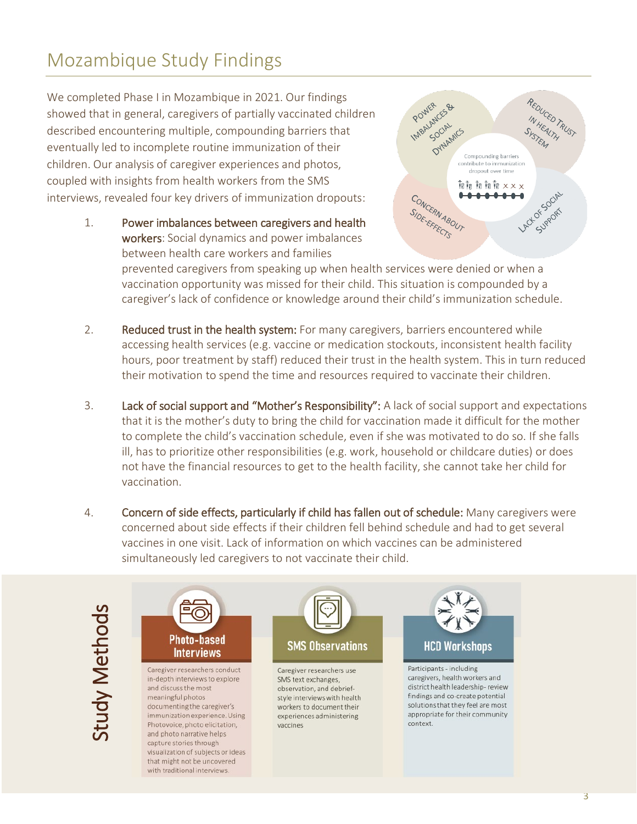# Mozambique Study Findings

We completed Phase I in Mozambique in 2021. Our findings showed that in general, caregivers of partially vaccinated children described encountering multiple, compounding barriers that eventually led to incomplete routine immunization of their children. Our analysis of caregiver experiences and photos, coupled with insights from health workers from the SMS interviews, revealed four key drivers of immunization dropouts:

> 1. Power imbalances between caregivers and health workers: Social dynamics and power imbalances between health care workers and families



prevented caregivers from speaking up when health services were denied or when a vaccination opportunity was missed for their child. This situation is compounded by a caregiver's lack of confidence or knowledge around their child's immunization schedule.

- 2. Reduced trust in the health system: For many caregivers, barriers encountered while accessing health services (e.g. vaccine or medication stockouts, inconsistent health facility hours, poor treatment by staff) reduced their trust in the health system. This in turn reduced their motivation to spend the time and resources required to vaccinate their children.
- 3. Lack of social support and "Mother's Responsibility": A lack of social support and expectations that it is the mother's duty to bring the child for vaccination made it difficult for the mother to complete the child's vaccination schedule, even if she was motivated to do so. If she falls ill, has to prioritize other responsibilities (e.g. work, household or childcare duties) or does not have the financial resources to get to the health facility, she cannot take her child for vaccination.
- 4. Concern of side effects, particularly if child has fallen out of schedule: Many caregivers were concerned about side effects if their children fell behind schedule and had to get several vaccines in one visit. Lack of information on which vaccines can be administered simultaneously led caregivers to not vaccinate their child.



Caregiver researchers conduct in-depth interviews to explore and discuss the most meaningful photos documenting the caregiver's immunization experience. Using Photovoice, photo elicitation, and photo narrative helps capture stories through visualization of subjects or ideas that might not be uncovered with traditional interviews.



Caregiver researchers use SMS text exchanges, observation, and debriefstyle interviews with health workers to document their experiences administering vaccines



Participants - including caregivers, health workers and district health leadership-review findings and co-create potential solutions that they feel are most appropriate for their community context.